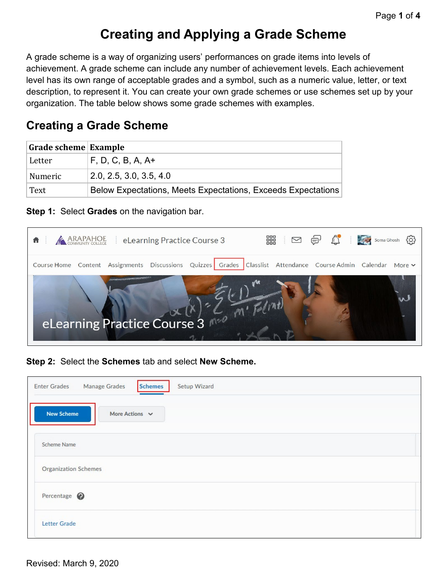# **Creating and Applying a Grade Scheme**

A grade scheme is a way of organizing users' performances on grade items into levels of achievement. A grade scheme can include any number of achievement levels. Each achievement level has its own range of acceptable grades and a symbol, such as a numeric value, letter, or text description, to represent it. You can create your own grade schemes or use schemes set up by your organization. The table below shows some grade schemes with examples.

## **Creating a Grade Scheme**

| Grade scheme Example |                                                              |  |  |
|----------------------|--------------------------------------------------------------|--|--|
| Letter               | $F, D, C, B, A, A+$                                          |  |  |
| Numeric              | 2.0, 2.5, 3.0, 3.5, 4.0                                      |  |  |
| Text                 | Below Expectations, Meets Expectations, Exceeds Expectations |  |  |

**Step 1:** Select **Grades** on the navigation bar.



**Step 2:** Select the **Schemes** tab and select **New Scheme.**

| <b>Schemes</b><br><b>Manage Grades</b><br>Setup Wizard<br><b>Enter Grades</b> |  |
|-------------------------------------------------------------------------------|--|
| <b>New Scheme</b><br>More Actions $\vee$                                      |  |
| Scheme Name                                                                   |  |
| <b>Organization Schemes</b>                                                   |  |
| Percentage <sup>O</sup>                                                       |  |
| <b>Letter Grade</b>                                                           |  |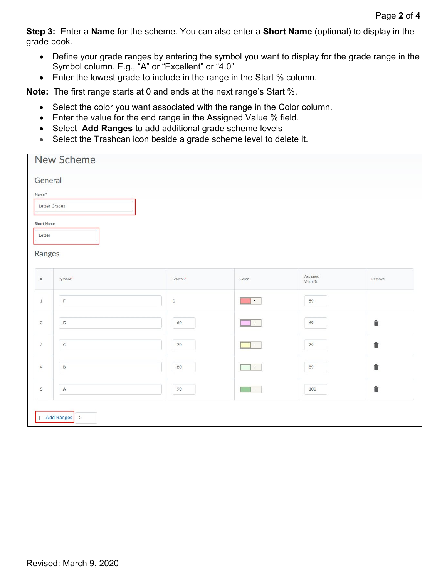**Step 3:** Enter a **Name** for the scheme. You can also enter a **Short Name** (optional) to display in the grade book.

- Define your grade ranges by entering the symbol you want to display for the grade range in the Symbol column. E.g., "A" or "Excellent" or "4.0"
- Enter the lowest grade to include in the range in the Start % column.

**Note:** The first range starts at 0 and ends at the next range's Start %.

- Select the color you want associated with the range in the Color column.
- Enter the value for the end range in the Assigned Value % field.
- Select **Add Ranges** to add additional grade scheme levels
- Select the Trashcan icon beside a grade scheme level to delete it.

|                                                           | New Scheme                     |          |                        |                     |        |
|-----------------------------------------------------------|--------------------------------|----------|------------------------|---------------------|--------|
| General<br>Name*<br><b>Short Name</b><br>Letter<br>Ranges | Letter Grades                  |          |                        |                     |        |
| $\#$                                                      | Symbol*                        | Start %* | Color                  | Assigned<br>Value % | Remove |
| $\mathbf{1}$                                              | $\mathsf F$                    | $\circ$  | $\star$                | 59                  |        |
| $\overline{2}$                                            | $\mathsf D$                    | 60       | $\star$                | 69                  | Ê      |
| 3                                                         | $\mathsf{C}$                   | 70       | $\star$                | 79                  | û      |
| $\overline{4}$                                            | $\,$ B                         | 80       | $\star$                | 89                  | û      |
| 5                                                         | $\overline{A}$                 | 90       | $\langle \psi \rangle$ | 100                 | â      |
|                                                           | + Add Ranges<br>$\overline{2}$ |          |                        |                     |        |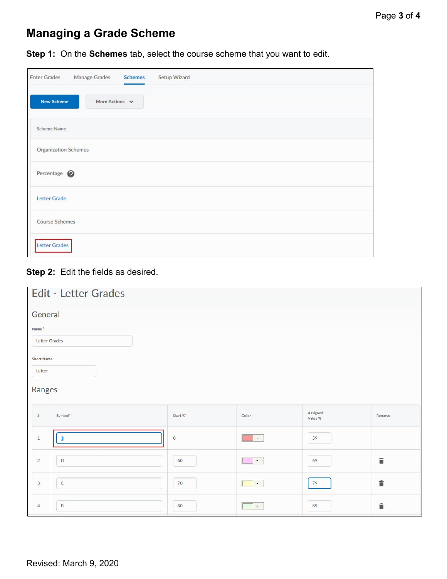## **Managing a Grade Scheme**

**Step 1:** On the **Schemes** tab, select the course scheme that you want to edit.

| <b>Enter Grades</b>         | Manage Grades       | <b>Schemes</b> | Setup Wizard |
|-----------------------------|---------------------|----------------|--------------|
| <b>New Scheme</b>           | More Actions $\vee$ |                |              |
| <b>Scheme Name</b>          |                     |                |              |
| <b>Organization Schemes</b> |                     |                |              |
| Percentage <sup>2</sup>     |                     |                |              |
| Letter Grade                |                     |                |              |
| <b>Course Schemes</b>       |                     |                |              |
| Letter Grades               |                     |                |              |

#### **Step 2:** Edit the fields as desired.

|                   | Edit - Letter Grades |          |          |                     |        |
|-------------------|----------------------|----------|----------|---------------------|--------|
| General           |                      |          |          |                     |        |
| Name <sup>*</sup> |                      |          |          |                     |        |
| Letter Grades     |                      |          |          |                     |        |
| <b>Short Name</b> |                      |          |          |                     |        |
| Letter            |                      |          |          |                     |        |
| Ranges            |                      |          |          |                     |        |
| $\#$              | Symbol*              | Start %* | Color    | Assigned<br>Value % | Remove |
| $\mathbf{1}$      | F                    | $\circ$  | $\star$  | 59                  |        |
| $\overline{2}$    | $\mathsf D$          | 60       | $\tau$ . | 69                  | û      |
| $\mathbf{3}$      | $\mathsf{C}$         | 70       | $\star$  | 79                  | û      |
| $\overline{4}$    | $\mathsf{B}$         | 80       | $\tau$   | 89                  | û      |